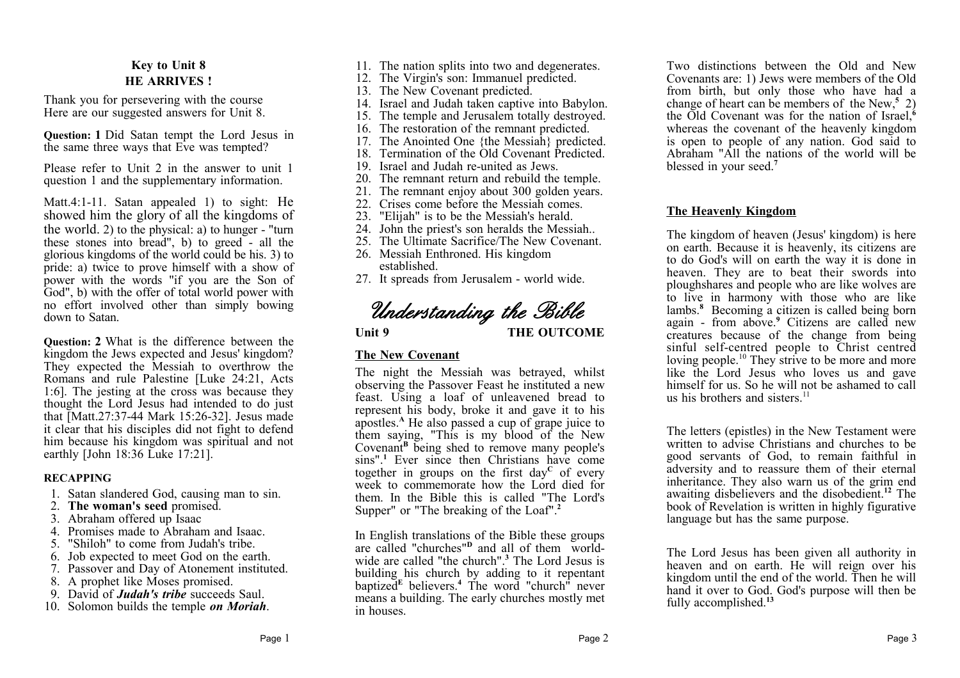# **Key to Unit 8 HE ARRIVES !**

Thank you for persevering with the course Here are our suggested answers for Unit 8.

**Question: 1** Did Satan tempt the Lord Jesus in the same three ways that Eve was tempted?

Please refer to Unit 2 in the answer to unit 1 question 1 and the supplementary information.

Matt.4:1-11. Satan appealed 1) to sight: He showed him the glory of all the kingdoms of the world. 2) to the physical: a) to hunger - "turn these stones into bread", b) to greed - all the glorious kingdoms of the world could be his. 3) to pride: a) twice to prove himself with a show of power with the words "if you are the Son of God", b) with the offer of total world power with no effort involved other than simply bowing down to Satan.

**Question: 2** What is the difference between the kingdom the Jews expected and Jesus' kingdom? They expected the Messiah to overthrow the Romans and rule Palestine [Luke 24:21, Acts 1:6]. The jesting at the cross was because they thought the Lord Jesus had intended to do just that [Matt.27:37-44 Mark 15:26-32]. Jesus made it clear that his disciples did not fight to defend him because his kingdom was spiritual and not earthly [John 18:36 Luke 17:21].

# **RECAPPING**

- 1. Satan slandered God, causing man to sin.
- 2. **The woman's seed** promised.
- 3. Abraham offered up Isaac
- 4. Promises made to Abraham and Isaac.
- 5. "Shiloh" to come from Judah's tribe.
- 6. Job expected to meet God on the earth.
- 7. Passover and Day of Atonement instituted.
- 8. A prophet like Moses promised.
- 9. David of *Judah's tribe* succeeds Saul.
- 10. Solomon builds the temple *on Moriah*.
- 11. The nation splits into two and degenerates.
- 12. The Virgin's son: Immanuel predicted.
- 13. The New Covenant predicted.
- 14. Israel and Judah taken captive into Babylon.
- 15. The temple and Jerusalem totally destroyed.
- 16. The restoration of the remnant predicted.
- 17. The Anointed One {the Messiah} predicted.
- 18. Termination of the Old Covenant Predicted.
- 19. Israel and Judah re-united as Jews.
- 20. The remnant return and rebuild the temple.
- 21. The remnant enjoy about 300 golden years.
- 22. Crises come before the Messiah comes.
- 23. "Elijah" is to be the Messiah's herald.
- 24. John the priest's son heralds the Messiah..
- 25. The Ultimate Sacrifice/The New Covenant.
- 26. Messiah Enthroned. His kingdom established.
- 27. It spreads from Jerusalem world wide.

# *Understanding the Bible*

Unit 9 THE OUTCOME

# **The New Covenant**

The night the Messiah was betrayed, whilst observing the Passover Feast he instituted a new feast. Using a loaf of unleavened bread to represent his body, broke it and gave it to his apostles.**<sup>A</sup>** He also passed a cup of grape juice to them saying, "This is my blood of the New Covenant**<sup>B</sup>** being shed to remove many people's sins".**<sup>1</sup>** Ever since then Christians have come together in groups on the first day**<sup>C</sup>** of every week to commemorate how the Lord died for them. In the Bible this is called "The Lord's Supper" or "The breaking of the Loaf".**<sup>2</sup>**

In English translations of the Bible these groups are called "churches"**<sup>D</sup>** and all of them worldwide are called "the church".**<sup>3</sup>** The Lord Jesus is building his church by adding to it repentant baptized**<sup>E</sup>** believers.**<sup>4</sup>** The word "church" never means a building. The early churches mostly met in houses.

Two distinctions between the Old and New Covenants are: 1) Jews were members of the Old from birth, but only those who have had a change of heart can be members of the New,**<sup>5</sup>** 2) the Old Covenant was for the nation of Israel,**<sup>6</sup>** whereas the covenant of the heavenly kingdom is open to people of any nation. God said to Abraham "All the nations of the world will be blessed in your seed.**<sup>7</sup>**

# **The Heavenly Kingdom**

The kingdom of heaven (Jesus' kingdom) is here on earth. Because it is heavenly, its citizens are to do God's will on earth the way it is done in heaven. They are to beat their swords into ploughshares and people who are like wolves are to live in harmony with those who are like lambs.**<sup>8</sup>** Becoming a citizen is called being born again - from above.**<sup>9</sup>** Citizens are called new creatures because of the change from being sinful self-centred people to Christ centred loving people.<sup>10</sup> They strive to be more and more like the Lord Jesus who loves us and gave himself for us. So he will not be ashamed to call us his brothers and sisters.<sup>11</sup>

The letters (epistles) in the New Testament were written to advise Christians and churches to be good servants of God, to remain faithful in adversity and to reassure them of their eternal inheritance. They also warn us of the grim end awaiting disbelievers and the disobedient.**<sup>12</sup>** The book of Revelation is written in highly figurative language but has the same purpose.

The Lord Jesus has been given all authority in heaven and on earth. He will reign over his kingdom until the end of the world. Then he will hand it over to God. God's purpose will then be fully accomplished.**<sup>13</sup>**